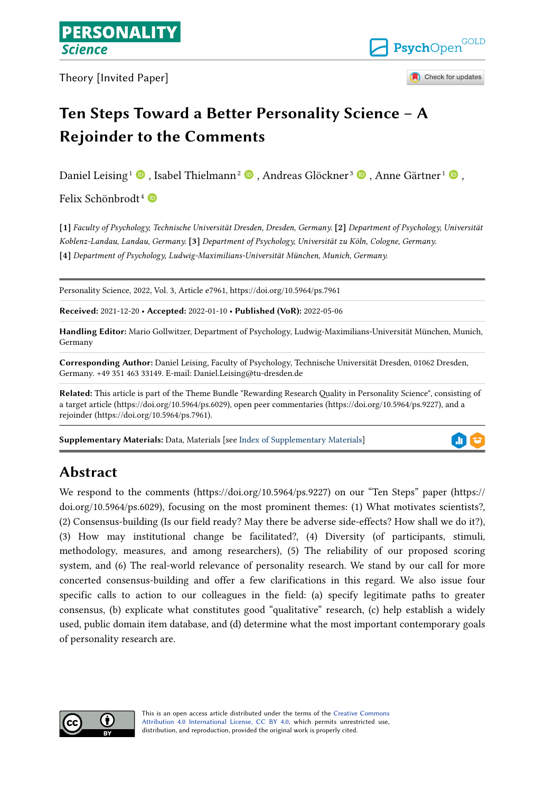Theory [Invited Paper]



Check for updates

# **Ten Steps Toward a Better Personality Science – A Rejoinder to the Comments**

Daniel Leising $^1$  $^1$   $\blacksquare$  [,](https://orcid.org/0000-0002-9071-5709) Isabel Thielmann $^2$   $\blacksquare$  , Andreas Glöckner $^3$  $^3$   $\blacksquare$  , Anne Gärtner $^1$   $\blacksquare$  ,

Felix Schönbrodt<sup>4</sup>

**[1]** *Faculty of Psychology, Technische Universität Dresden, Dresden, Germany.* **[2]** *Department of Psychology, Universität Koblenz-Landau, Landau, Germany.* **[3]** *Department of Psychology, Universität zu Köln, Cologne, Germany.*  **[4]** *Department of Psychology, Ludwig-Maximilians-Universität München, Munich, Germany.* 

Personality Science, 2022, Vol. 3, Article e7961, https://doi.org/10.5964/ps.7961

**Received:** 2021-12-20 • **Accepted:** 2022-01-10 • **Published (VoR):** 2022-05-06

**Handling Editor:** Mario Gollwitzer, Department of Psychology, Ludwig-Maximilians-Universität München, Munich, Germany

**Corresponding Author:** Daniel Leising, Faculty of Psychology, Technische Universität Dresden, 01062 Dresden, Germany. +49 351 463 33149. E-mail: Daniel.Leising@tu-dresden.de

**Related:** This article is part of the Theme Bundle "Rewarding Research Quality in Personality Science", consisting of a target article (https://doi.org/10.5964/ps.6029), open peer commentaries (https://doi.org/10.5964/ps.9227), and a rejoinder (https://doi.org/10.5964/ps.7961).

**Supplementary Materials:** Data, Materials [see [Index of Supplementary Materials\]](#page-12-0)

# ah,

## **Abstract**

We respond to the comments (https://doi.org/10.5964/ps.9227) on our "Ten Steps" paper (https:// doi.org/10.5964/ps.6029), focusing on the most prominent themes: (1) What motivates scientists?, (2) Consensus-building (Is our field ready? May there be adverse side-effects? How shall we do it?), (3) How may institutional change be facilitated?, (4) Diversity (of participants, stimuli, methodology, measures, and among researchers), (5) The reliability of our proposed scoring system, and (6) The real-world relevance of personality research. We stand by our call for more concerted consensus-building and offer a few clarifications in this regard. We also issue four specific calls to action to our colleagues in the field: (a) specify legitimate paths to greater consensus, (b) explicate what constitutes good "qualitative" research, (c) help establish a widely used, public domain item database, and (d) determine what the most important contemporary goals of personality research are.



This is an open access article distributed under the terms of the [Creative Commons](https://creativecommons.org/licenses/by/4.0/) [Attribution 4.0 International License, CC BY 4.0](https://creativecommons.org/licenses/by/4.0/), which permits unrestricted use, distribution, and reproduction, provided the original work is properly cited.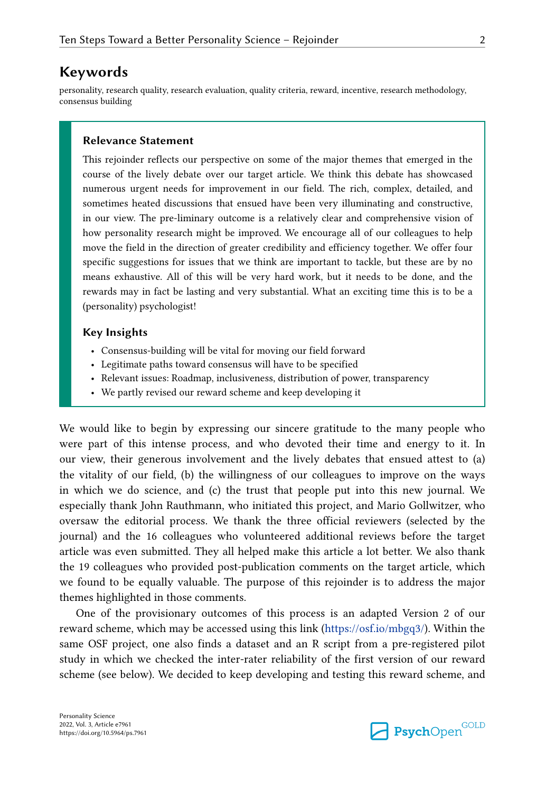#### **Keywords**

personality, research quality, research evaluation, quality criteria, reward, incentive, research methodology, consensus building

#### **Relevance Statement**

This rejoinder reflects our perspective on some of the major themes that emerged in the course of the lively debate over our target article. We think this debate has showcased numerous urgent needs for improvement in our field. The rich, complex, detailed, and sometimes heated discussions that ensued have been very illuminating and constructive, in our view. The pre-liminary outcome is a relatively clear and comprehensive vision of how personality research might be improved. We encourage all of our colleagues to help move the field in the direction of greater credibility and efficiency together. We offer four specific suggestions for issues that we think are important to tackle, but these are by no means exhaustive. All of this will be very hard work, but it needs to be done, and the rewards may in fact be lasting and very substantial. What an exciting time this is to be a (personality) psychologist!

#### **Key Insights**

- Consensus-building will be vital for moving our field forward
- Legitimate paths toward consensus will have to be specified
- Relevant issues: Roadmap, inclusiveness, distribution of power, transparency
- We partly revised our reward scheme and keep developing it

We would like to begin by expressing our sincere gratitude to the many people who were part of this intense process, and who devoted their time and energy to it. In our view, their generous involvement and the lively debates that ensued attest to (a) the vitality of our field, (b) the willingness of our colleagues to improve on the ways in which we do science, and (c) the trust that people put into this new journal. We especially thank John Rauthmann, who initiated this project, and Mario Gollwitzer, who oversaw the editorial process. We thank the three official reviewers (selected by the journal) and the 16 colleagues who volunteered additional reviews before the target article was even submitted. They all helped make this article a lot better. We also thank the 19 colleagues who provided post-publication comments on the target article, which we found to be equally valuable. The purpose of this rejoinder is to address the major themes highlighted in those comments.

One of the provisionary outcomes of this process is an adapted Version 2 of our reward scheme, which may be accessed using this link ([https://osf.io/mbgq3/\)](https://osf.io/mbgq3/). Within the same OSF project, one also finds a dataset and an R script from a pre-registered pilot study in which we checked the inter-rater reliability of the first version of our reward scheme (see below). We decided to keep developing and testing this reward scheme, and

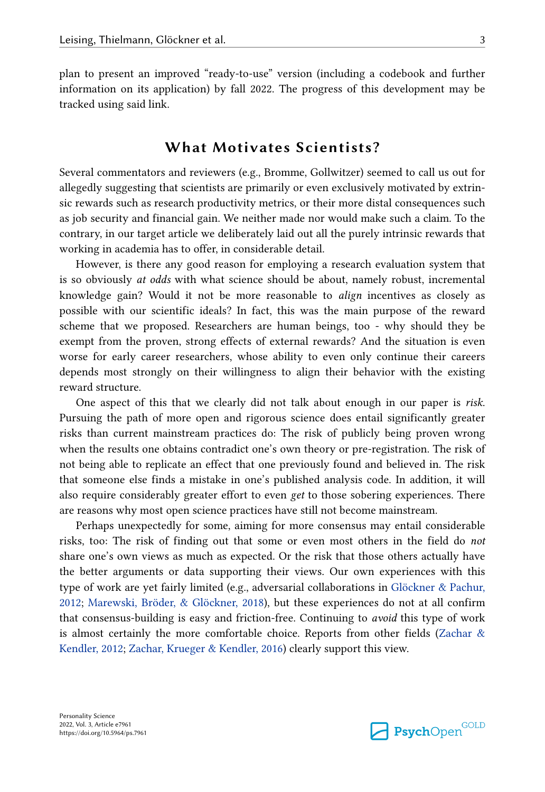plan to present an improved "ready-to-use" version (including a codebook and further information on its application) by fall 2022. The progress of this development may be tracked using said link.

### **What Motivates Scientists?**

Several commentators and reviewers (e.g., Bromme, Gollwitzer) seemed to call us out for allegedly suggesting that scientists are primarily or even exclusively motivated by extrinsic rewards such as research productivity metrics, or their more distal consequences such as job security and financial gain. We neither made nor would make such a claim. To the contrary, in our target article we deliberately laid out all the purely intrinsic rewards that working in academia has to offer, in considerable detail.

However, is there any good reason for employing a research evaluation system that is so obviously *at odds* with what science should be about, namely robust, incremental knowledge gain? Would it not be more reasonable to *align* incentives as closely as possible with our scientific ideals? In fact, this was the main purpose of the reward scheme that we proposed. Researchers are human beings, too - why should they be exempt from the proven, strong effects of external rewards? And the situation is even worse for early career researchers, whose ability to even only continue their careers depends most strongly on their willingness to align their behavior with the existing reward structure.

One aspect of this that we clearly did not talk about enough in our paper is *risk*. Pursuing the path of more open and rigorous science does entail significantly greater risks than current mainstream practices do: The risk of publicly being proven wrong when the results one obtains contradict one's own theory or pre-registration. The risk of not being able to replicate an effect that one previously found and believed in. The risk that someone else finds a mistake in one's published analysis code. In addition, it will also require considerably greater effort to even *get* to those sobering experiences. There are reasons why most open science practices have still not become mainstream.

Perhaps unexpectedly for some, aiming for more consensus may entail considerable risks, too: The risk of finding out that some or even most others in the field do *not*  share one's own views as much as expected. Or the risk that those others actually have the better arguments or data supporting their views. Our own experiences with this type of work are yet fairly limited (e.g., adversarial collaborations in [Glöckner & Pachur,](#page-13-0)  [2012;](#page-13-0) [Marewski, Bröder, & Glöckner, 2018\)](#page-13-0), but these experiences do not at all confirm that consensus-building is easy and friction-free. Continuing to *avoid* this type of work is almost certainly the more comfortable choice. Reports from other fields (Zachar  $\&$ [Kendler, 2012;](#page-14-0) [Zachar, Krueger & Kendler, 2016\)](#page-14-0) clearly support this view.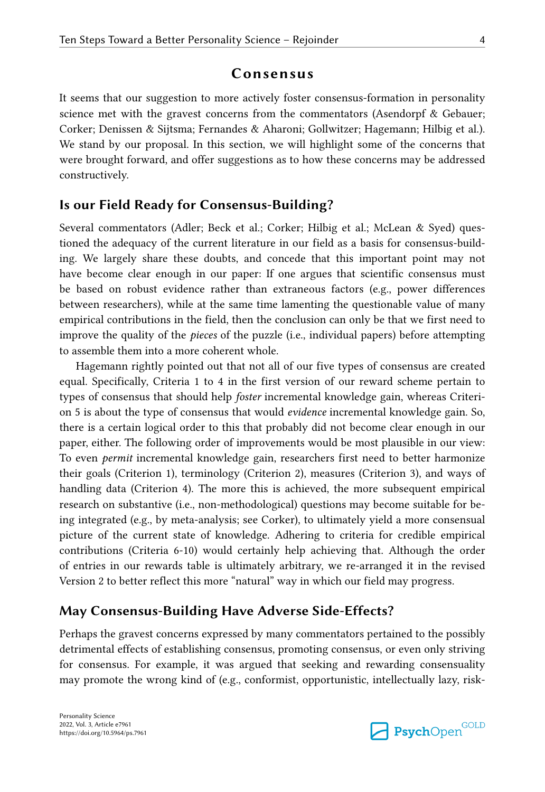### **Consensus**

It seems that our suggestion to more actively foster consensus-formation in personality science met with the gravest concerns from the commentators (Asendorpf & Gebauer; Corker; Denissen & Sijtsma; Fernandes & Aharoni; Gollwitzer; Hagemann; Hilbig et al.). We stand by our proposal. In this section, we will highlight some of the concerns that were brought forward, and offer suggestions as to how these concerns may be addressed constructively.

#### **Is our Field Ready for Consensus-Building?**

Several commentators (Adler; Beck et al.; Corker; Hilbig et al.; McLean & Syed) questioned the adequacy of the current literature in our field as a basis for consensus-building. We largely share these doubts, and concede that this important point may not have become clear enough in our paper: If one argues that scientific consensus must be based on robust evidence rather than extraneous factors (e.g., power differences between researchers), while at the same time lamenting the questionable value of many empirical contributions in the field, then the conclusion can only be that we first need to improve the quality of the *pieces* of the puzzle (i.e., individual papers) before attempting to assemble them into a more coherent whole.

Hagemann rightly pointed out that not all of our five types of consensus are created equal. Specifically, Criteria 1 to 4 in the first version of our reward scheme pertain to types of consensus that should help *foster* incremental knowledge gain, whereas Criterion 5 is about the type of consensus that would *evidence* incremental knowledge gain. So, there is a certain logical order to this that probably did not become clear enough in our paper, either. The following order of improvements would be most plausible in our view: To even *permit* incremental knowledge gain, researchers first need to better harmonize their goals (Criterion 1), terminology (Criterion 2), measures (Criterion 3), and ways of handling data (Criterion 4). The more this is achieved, the more subsequent empirical research on substantive (i.e., non-methodological) questions may become suitable for being integrated (e.g., by meta-analysis; see Corker), to ultimately yield a more consensual picture of the current state of knowledge. Adhering to criteria for credible empirical contributions (Criteria 6-10) would certainly help achieving that. Although the order of entries in our rewards table is ultimately arbitrary, we re-arranged it in the revised Version 2 to better reflect this more "natural" way in which our field may progress.

### **May Consensus-Building Have Adverse Side-Effects?**

Perhaps the gravest concerns expressed by many commentators pertained to the possibly detrimental effects of establishing consensus, promoting consensus, or even only striving for consensus. For example, it was argued that seeking and rewarding consensuality may promote the wrong kind of (e.g., conformist, opportunistic, intellectually lazy, risk-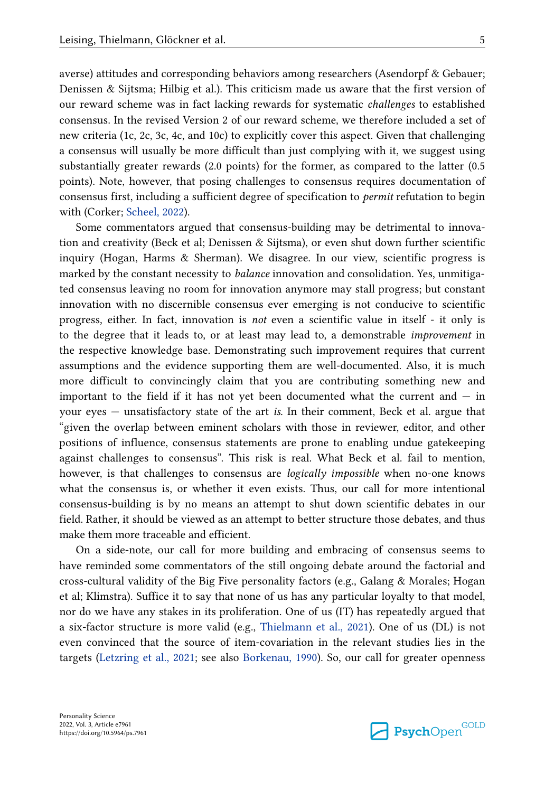averse) attitudes and corresponding behaviors among researchers (Asendorpf & Gebauer; Denissen & Sijtsma; Hilbig et al.). This criticism made us aware that the first version of our reward scheme was in fact lacking rewards for systematic *challenges* to established consensus. In the revised Version 2 of our reward scheme, we therefore included a set of new criteria (1c, 2c, 3c, 4c, and 10c) to explicitly cover this aspect. Given that challenging a consensus will usually be more difficult than just complying with it, we suggest using substantially greater rewards (2.0 points) for the former, as compared to the latter (0.5 points). Note, however, that posing challenges to consensus requires documentation of consensus first, including a sufficient degree of specification to *permit* refutation to begin with (Corker; [Scheel, 2022\)](#page-14-0).

Some commentators argued that consensus-building may be detrimental to innovation and creativity (Beck et al; Denissen & Sijtsma), or even shut down further scientific inquiry (Hogan, Harms & Sherman). We disagree. In our view, scientific progress is marked by the constant necessity to *balance* innovation and consolidation. Yes, unmitigated consensus leaving no room for innovation anymore may stall progress; but constant innovation with no discernible consensus ever emerging is not conducive to scientific progress, either. In fact, innovation is *not* even a scientific value in itself - it only is to the degree that it leads to, or at least may lead to, a demonstrable *improvement* in the respective knowledge base. Demonstrating such improvement requires that current assumptions and the evidence supporting them are well-documented. Also, it is much more difficult to convincingly claim that you are contributing something new and important to the field if it has not yet been documented what the current and  $-$  in your eyes — unsatisfactory state of the art *is*. In their comment, Beck et al. argue that "given the overlap between eminent scholars with those in reviewer, editor, and other positions of influence, consensus statements are prone to enabling undue gatekeeping against challenges to consensus". This risk is real. What Beck et al. fail to mention, however, is that challenges to consensus are *logically impossible* when no-one knows what the consensus is, or whether it even exists. Thus, our call for more intentional consensus-building is by no means an attempt to shut down scientific debates in our field. Rather, it should be viewed as an attempt to better structure those debates, and thus make them more traceable and efficient.

On a side-note, our call for more building and embracing of consensus seems to have reminded some commentators of the still ongoing debate around the factorial and cross-cultural validity of the Big Five personality factors (e.g., Galang & Morales; Hogan et al; Klimstra). Suffice it to say that none of us has any particular loyalty to that model, nor do we have any stakes in its proliferation. One of us (IT) has repeatedly argued that a six-factor structure is more valid (e.g., [Thielmann et al., 2021\)](#page-14-0). One of us (DL) is not even convinced that the source of item-covariation in the relevant studies lies in the targets [\(Letzring et al., 2021](#page-13-0); see also [Borkenau, 1990](#page-13-0)). So, our call for greater openness

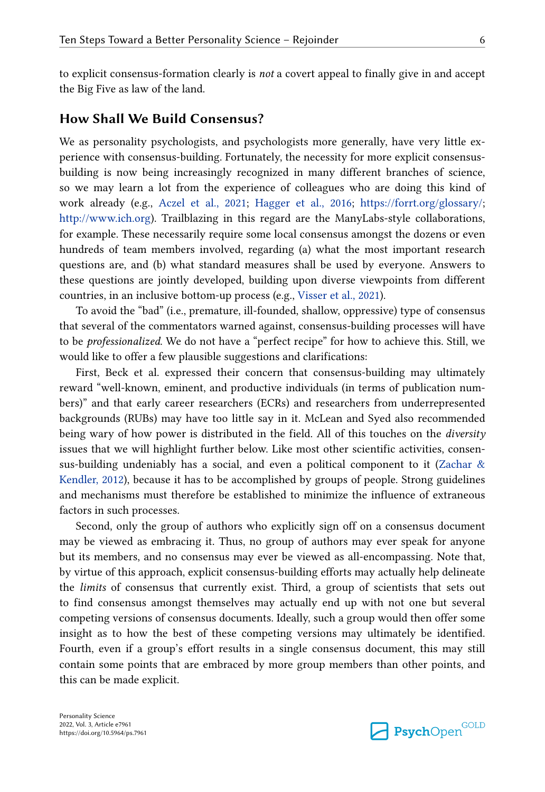to explicit consensus-formation clearly is *not* a covert appeal to finally give in and accept the Big Five as law of the land.

#### **How Shall We Build Consensus?**

We as personality psychologists, and psychologists more generally, have very little experience with consensus-building. Fortunately, the necessity for more explicit consensusbuilding is now being increasingly recognized in many different branches of science, so we may learn a lot from the experience of colleagues who are doing this kind of work already (e.g., [Aczel et al., 2021;](#page-12-0) [Hagger et al., 2016](#page-13-0); <https://forrt.org/glossary/>; <http://www.ich.org>). Trailblazing in this regard are the ManyLabs-style collaborations, for example. These necessarily require some local consensus amongst the dozens or even hundreds of team members involved, regarding (a) what the most important research questions are, and (b) what standard measures shall be used by everyone. Answers to these questions are jointly developed, building upon diverse viewpoints from different countries, in an inclusive bottom-up process (e.g., [Visser et al., 2021](#page-14-0)).

To avoid the "bad" (i.e., premature, ill-founded, shallow, oppressive) type of consensus that several of the commentators warned against, consensus-building processes will have to be *professionalized*. We do not have a "perfect recipe" for how to achieve this. Still, we would like to offer a few plausible suggestions and clarifications:

First, Beck et al. expressed their concern that consensus-building may ultimately reward "well-known, eminent, and productive individuals (in terms of publication numbers)" and that early career researchers (ECRs) and researchers from underrepresented backgrounds (RUBs) may have too little say in it. McLean and Syed also recommended being wary of how power is distributed in the field. All of this touches on the *diversity*  issues that we will highlight further below. Like most other scientific activities, consensus-building undeniably has a social, and even a political component to it ([Zachar &](#page-14-0)  [Kendler, 2012](#page-14-0)), because it has to be accomplished by groups of people. Strong guidelines and mechanisms must therefore be established to minimize the influence of extraneous factors in such processes.

Second, only the group of authors who explicitly sign off on a consensus document may be viewed as embracing it. Thus, no group of authors may ever speak for anyone but its members, and no consensus may ever be viewed as all-encompassing. Note that, by virtue of this approach, explicit consensus-building efforts may actually help delineate the *limits* of consensus that currently exist. Third, a group of scientists that sets out to find consensus amongst themselves may actually end up with not one but several competing versions of consensus documents. Ideally, such a group would then offer some insight as to how the best of these competing versions may ultimately be identified. Fourth, even if a group's effort results in a single consensus document, this may still contain some points that are embraced by more group members than other points, and this can be made explicit.

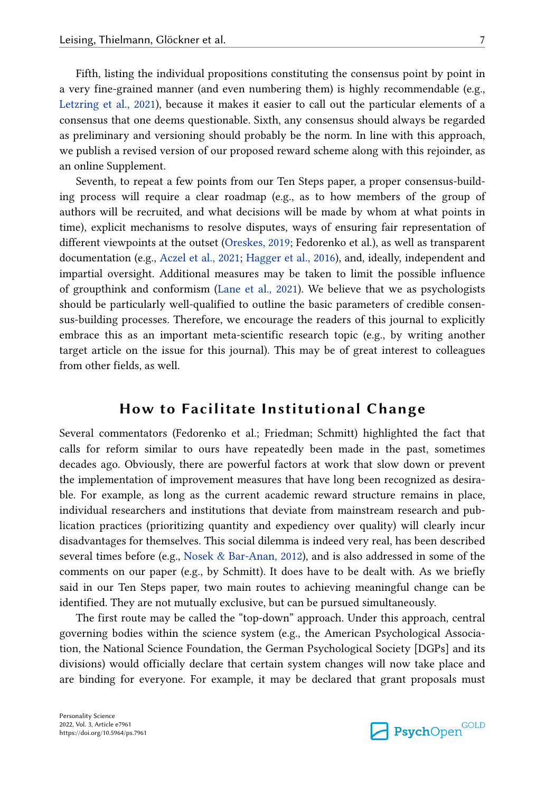Fifth, listing the individual propositions constituting the consensus point by point in a very fine-grained manner (and even numbering them) is highly recommendable (e.g., [Letzring et al., 2021\)](#page-13-0), because it makes it easier to call out the particular elements of a consensus that one deems questionable. Sixth, any consensus should always be regarded as preliminary and versioning should probably be the norm. In line with this approach, we publish a revised version of our proposed reward scheme along with this rejoinder, as an online Supplement.

Seventh, to repeat a few points from our Ten Steps paper, a proper consensus-building process will require a clear roadmap (e.g., as to how members of the group of authors will be recruited, and what decisions will be made by whom at what points in time), explicit mechanisms to resolve disputes, ways of ensuring fair representation of different viewpoints at the outset [\(Oreskes, 2019](#page-14-0); Fedorenko et al.), as well as transparent documentation (e.g., [Aczel et al., 2021](#page-12-0); [Hagger et al., 2016\)](#page-13-0), and, ideally, independent and impartial oversight. Additional measures may be taken to limit the possible influence of groupthink and conformism ([Lane et al., 2021\)](#page-13-0). We believe that we as psychologists should be particularly well-qualified to outline the basic parameters of credible consensus-building processes. Therefore, we encourage the readers of this journal to explicitly embrace this as an important meta-scientific research topic (e.g., by writing another target article on the issue for this journal). This may be of great interest to colleagues from other fields, as well.

## **How to Facilitate Institutional Change**

Several commentators (Fedorenko et al.; Friedman; Schmitt) highlighted the fact that calls for reform similar to ours have repeatedly been made in the past, sometimes decades ago. Obviously, there are powerful factors at work that slow down or prevent the implementation of improvement measures that have long been recognized as desirable. For example, as long as the current academic reward structure remains in place, individual researchers and institutions that deviate from mainstream research and publication practices (prioritizing quantity and expediency over quality) will clearly incur disadvantages for themselves. This social dilemma is indeed very real, has been described several times before (e.g., Nosek  $&$  Bar-Anan, 2012), and is also addressed in some of the comments on our paper (e.g., by Schmitt). It does have to be dealt with. As we briefly said in our Ten Steps paper, two main routes to achieving meaningful change can be identified. They are not mutually exclusive, but can be pursued simultaneously.

The first route may be called the "top-down" approach. Under this approach, central governing bodies within the science system (e.g., the American Psychological Association, the National Science Foundation, the German Psychological Society [DGPs] and its divisions) would officially declare that certain system changes will now take place and are binding for everyone. For example, it may be declared that grant proposals must

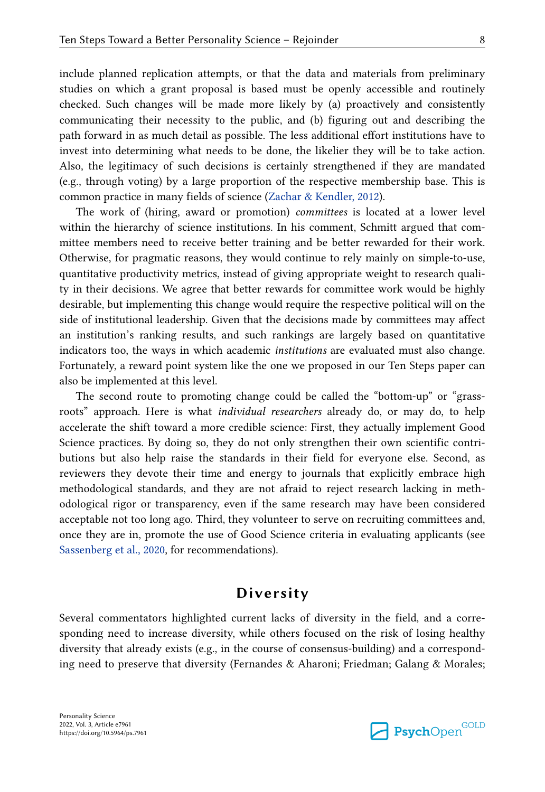include planned replication attempts, or that the data and materials from preliminary studies on which a grant proposal is based must be openly accessible and routinely checked. Such changes will be made more likely by (a) proactively and consistently communicating their necessity to the public, and (b) figuring out and describing the path forward in as much detail as possible. The less additional effort institutions have to invest into determining what needs to be done, the likelier they will be to take action. Also, the legitimacy of such decisions is certainly strengthened if they are mandated (e.g., through voting) by a large proportion of the respective membership base. This is common practice in many fields of science [\(Zachar & Kendler, 2012\)](#page-14-0).

The work of (hiring, award or promotion) *committees* is located at a lower level within the hierarchy of science institutions. In his comment, Schmitt argued that committee members need to receive better training and be better rewarded for their work. Otherwise, for pragmatic reasons, they would continue to rely mainly on simple-to-use, quantitative productivity metrics, instead of giving appropriate weight to research quality in their decisions. We agree that better rewards for committee work would be highly desirable, but implementing this change would require the respective political will on the side of institutional leadership. Given that the decisions made by committees may affect an institution's ranking results, and such rankings are largely based on quantitative indicators too, the ways in which academic *institutions* are evaluated must also change. Fortunately, a reward point system like the one we proposed in our Ten Steps paper can also be implemented at this level.

The second route to promoting change could be called the "bottom-up" or "grassroots" approach. Here is what *individual researchers* already do, or may do, to help accelerate the shift toward a more credible science: First, they actually implement Good Science practices. By doing so, they do not only strengthen their own scientific contributions but also help raise the standards in their field for everyone else. Second, as reviewers they devote their time and energy to journals that explicitly embrace high methodological standards, and they are not afraid to reject research lacking in methodological rigor or transparency, even if the same research may have been considered acceptable not too long ago. Third, they volunteer to serve on recruiting committees and, once they are in, promote the use of Good Science criteria in evaluating applicants (see [Sassenberg et al., 2020,](#page-14-0) for recommendations).

## **Diversity**

Several commentators highlighted current lacks of diversity in the field, and a corresponding need to increase diversity, while others focused on the risk of losing healthy diversity that already exists (e.g., in the course of consensus-building) and a corresponding need to preserve that diversity (Fernandes & Aharoni; Friedman; Galang & Morales;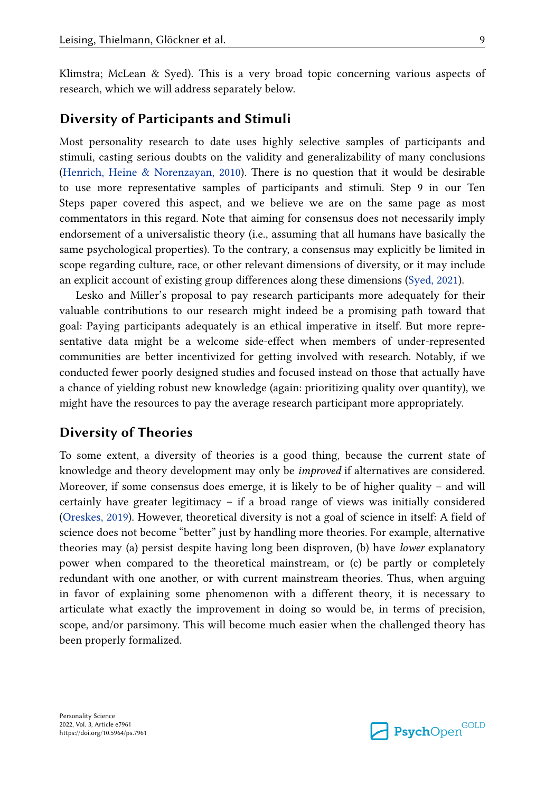Klimstra; McLean & Syed). This is a very broad topic concerning various aspects of research, which we will address separately below.

#### **Diversity of Participants and Stimuli**

Most personality research to date uses highly selective samples of participants and stimuli, casting serious doubts on the validity and generalizability of many conclusions [\(Henrich, Heine & Norenzayan, 2010\)](#page-13-0). There is no question that it would be desirable to use more representative samples of participants and stimuli. Step 9 in our Ten Steps paper covered this aspect, and we believe we are on the same page as most commentators in this regard. Note that aiming for consensus does not necessarily imply endorsement of a universalistic theory (i.e., assuming that all humans have basically the same psychological properties). To the contrary, a consensus may explicitly be limited in scope regarding culture, race, or other relevant dimensions of diversity, or it may include an explicit account of existing group differences along these dimensions ([Syed, 2021\)](#page-14-0).

Lesko and Miller's proposal to pay research participants more adequately for their valuable contributions to our research might indeed be a promising path toward that goal: Paying participants adequately is an ethical imperative in itself. But more representative data might be a welcome side-effect when members of under-represented communities are better incentivized for getting involved with research. Notably, if we conducted fewer poorly designed studies and focused instead on those that actually have a chance of yielding robust new knowledge (again: prioritizing quality over quantity), we might have the resources to pay the average research participant more appropriately.

#### **Diversity of Theories**

To some extent, a diversity of theories is a good thing, because the current state of knowledge and theory development may only be *improved* if alternatives are considered. Moreover, if some consensus does emerge, it is likely to be of higher quality – and will certainly have greater legitimacy – if a broad range of views was initially considered ([Oreskes, 2019](#page-14-0)). However, theoretical diversity is not a goal of science in itself: A field of science does not become "better" just by handling more theories. For example, alternative theories may (a) persist despite having long been disproven, (b) have *lower* explanatory power when compared to the theoretical mainstream, or (c) be partly or completely redundant with one another, or with current mainstream theories. Thus, when arguing in favor of explaining some phenomenon with a different theory, it is necessary to articulate what exactly the improvement in doing so would be, in terms of precision, scope, and/or parsimony. This will become much easier when the challenged theory has been properly formalized.

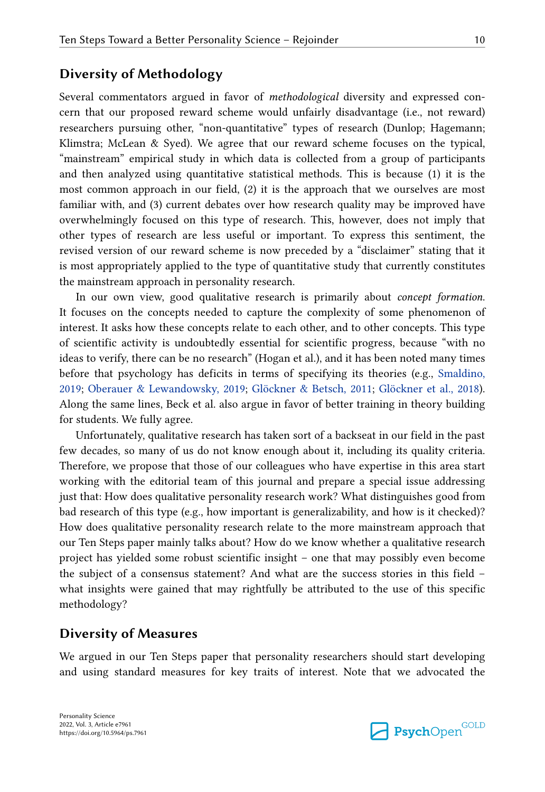#### **Diversity of Methodology**

Several commentators argued in favor of *methodological* diversity and expressed concern that our proposed reward scheme would unfairly disadvantage (i.e., not reward) researchers pursuing other, "non-quantitative" types of research (Dunlop; Hagemann; Klimstra; McLean & Syed). We agree that our reward scheme focuses on the typical, "mainstream" empirical study in which data is collected from a group of participants and then analyzed using quantitative statistical methods. This is because (1) it is the most common approach in our field, (2) it is the approach that we ourselves are most familiar with, and (3) current debates over how research quality may be improved have overwhelmingly focused on this type of research. This, however, does not imply that other types of research are less useful or important. To express this sentiment, the revised version of our reward scheme is now preceded by a "disclaimer" stating that it is most appropriately applied to the type of quantitative study that currently constitutes the mainstream approach in personality research.

In our own view, good qualitative research is primarily about *concept formation*. It focuses on the concepts needed to capture the complexity of some phenomenon of interest. It asks how these concepts relate to each other, and to other concepts. This type of scientific activity is undoubtedly essential for scientific progress, because "with no ideas to verify, there can be no research" (Hogan et al.), and it has been noted many times before that psychology has deficits in terms of specifying its theories (e.g., [Smaldino,](#page-14-0)  [2019;](#page-14-0) [Oberauer & Lewandowsky, 2019;](#page-14-0) [Glöckner & Betsch, 2011;](#page-13-0) [Glöckner et al., 2018\)](#page-13-0). Along the same lines, Beck et al. also argue in favor of better training in theory building for students. We fully agree.

Unfortunately, qualitative research has taken sort of a backseat in our field in the past few decades, so many of us do not know enough about it, including its quality criteria. Therefore, we propose that those of our colleagues who have expertise in this area start working with the editorial team of this journal and prepare a special issue addressing just that: How does qualitative personality research work? What distinguishes good from bad research of this type (e.g., how important is generalizability, and how is it checked)? How does qualitative personality research relate to the more mainstream approach that our Ten Steps paper mainly talks about? How do we know whether a qualitative research project has yielded some robust scientific insight – one that may possibly even become the subject of a consensus statement? And what are the success stories in this field – what insights were gained that may rightfully be attributed to the use of this specific methodology?

### **Diversity of Measures**

We argued in our Ten Steps paper that personality researchers should start developing and using standard measures for key traits of interest. Note that we advocated the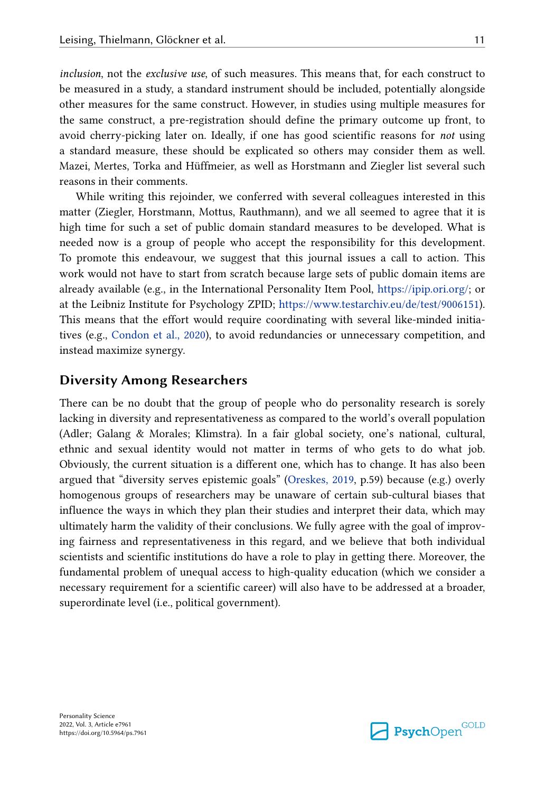*inclusion*, not the *exclusive use*, of such measures. This means that, for each construct to be measured in a study, a standard instrument should be included, potentially alongside other measures for the same construct. However, in studies using multiple measures for the same construct, a pre-registration should define the primary outcome up front, to avoid cherry-picking later on. Ideally, if one has good scientific reasons for *not* using a standard measure, these should be explicated so others may consider them as well. Mazei, Mertes, Torka and Hüffmeier, as well as Horstmann and Ziegler list several such reasons in their comments.

While writing this rejoinder, we conferred with several colleagues interested in this matter (Ziegler, Horstmann, Mottus, Rauthmann), and we all seemed to agree that it is high time for such a set of public domain standard measures to be developed. What is needed now is a group of people who accept the responsibility for this development. To promote this endeavour, we suggest that this journal issues a call to action. This work would not have to start from scratch because large sets of public domain items are already available (e.g., in the International Personality Item Pool, <https://ipip.ori.org/>; or at the Leibniz Institute for Psychology ZPID; [https://www.testarchiv.eu/de/test/9006151\)](https://www.testarchiv.eu/de/test/9006151). This means that the effort would require coordinating with several like-minded initiatives (e.g., [Condon et al., 2020](#page-13-0)), to avoid redundancies or unnecessary competition, and instead maximize synergy.

#### **Diversity Among Researchers**

There can be no doubt that the group of people who do personality research is sorely lacking in diversity and representativeness as compared to the world's overall population (Adler; Galang & Morales; Klimstra). In a fair global society, one's national, cultural, ethnic and sexual identity would not matter in terms of who gets to do what job. Obviously, the current situation is a different one, which has to change. It has also been argued that "diversity serves epistemic goals" [\(Oreskes, 2019,](#page-14-0) p.59) because (e.g.) overly homogenous groups of researchers may be unaware of certain sub-cultural biases that influence the ways in which they plan their studies and interpret their data, which may ultimately harm the validity of their conclusions. We fully agree with the goal of improving fairness and representativeness in this regard, and we believe that both individual scientists and scientific institutions do have a role to play in getting there. Moreover, the fundamental problem of unequal access to high-quality education (which we consider a necessary requirement for a scientific career) will also have to be addressed at a broader, superordinate level (i.e., political government).

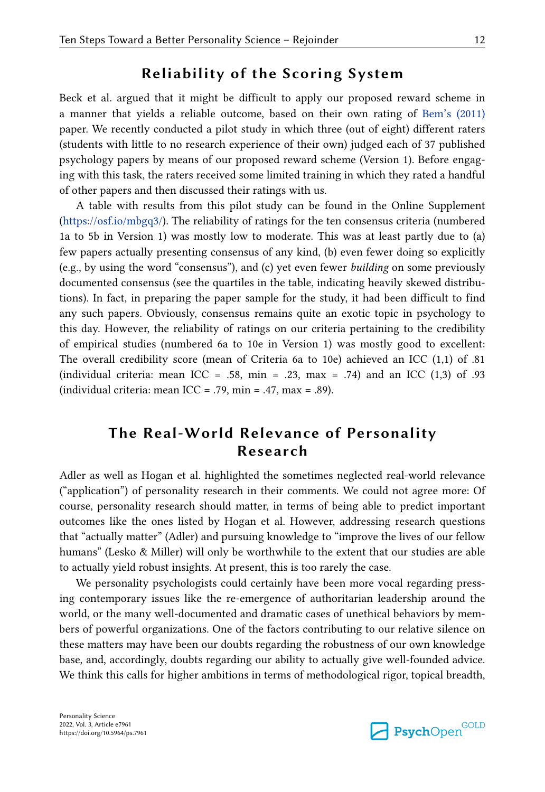## **Reliability of the Scoring System**

Beck et al. argued that it might be difficult to apply our proposed reward scheme in a manner that yields a reliable outcome, based on their own rating of [Bem's \(2011\)](#page-13-0)  paper. We recently conducted a pilot study in which three (out of eight) different raters (students with little to no research experience of their own) judged each of 37 published psychology papers by means of our proposed reward scheme (Version 1). Before engaging with this task, the raters received some limited training in which they rated a handful of other papers and then discussed their ratings with us.

A table with results from this pilot study can be found in the Online Supplement [\(https://osf.io/mbgq3/\)](https://osf.io/mbgq3/). The reliability of ratings for the ten consensus criteria (numbered 1a to 5b in Version 1) was mostly low to moderate. This was at least partly due to (a) few papers actually presenting consensus of any kind, (b) even fewer doing so explicitly (e.g., by using the word "consensus"), and (c) yet even fewer *building* on some previously documented consensus (see the quartiles in the table, indicating heavily skewed distributions). In fact, in preparing the paper sample for the study, it had been difficult to find any such papers. Obviously, consensus remains quite an exotic topic in psychology to this day. However, the reliability of ratings on our criteria pertaining to the credibility of empirical studies (numbered 6a to 10e in Version 1) was mostly good to excellent: The overall credibility score (mean of Criteria 6a to 10e) achieved an ICC (1,1) of .81 (individual criteria: mean ICC = .58, min = .23, max = .74) and an ICC  $(1,3)$  of .93 (individual criteria: mean ICC = .79, min = .47, max = .89).

## **The Real-World Relevance of Personality Research**

Adler as well as Hogan et al. highlighted the sometimes neglected real-world relevance ("application") of personality research in their comments. We could not agree more: Of course, personality research should matter, in terms of being able to predict important outcomes like the ones listed by Hogan et al. However, addressing research questions that "actually matter" (Adler) and pursuing knowledge to "improve the lives of our fellow humans" (Lesko & Miller) will only be worthwhile to the extent that our studies are able to actually yield robust insights. At present, this is too rarely the case.

We personality psychologists could certainly have been more vocal regarding pressing contemporary issues like the re-emergence of authoritarian leadership around the world, or the many well-documented and dramatic cases of unethical behaviors by members of powerful organizations. One of the factors contributing to our relative silence on these matters may have been our doubts regarding the robustness of our own knowledge base, and, accordingly, doubts regarding our ability to actually give well-founded advice. We think this calls for higher ambitions in terms of methodological rigor, topical breadth,

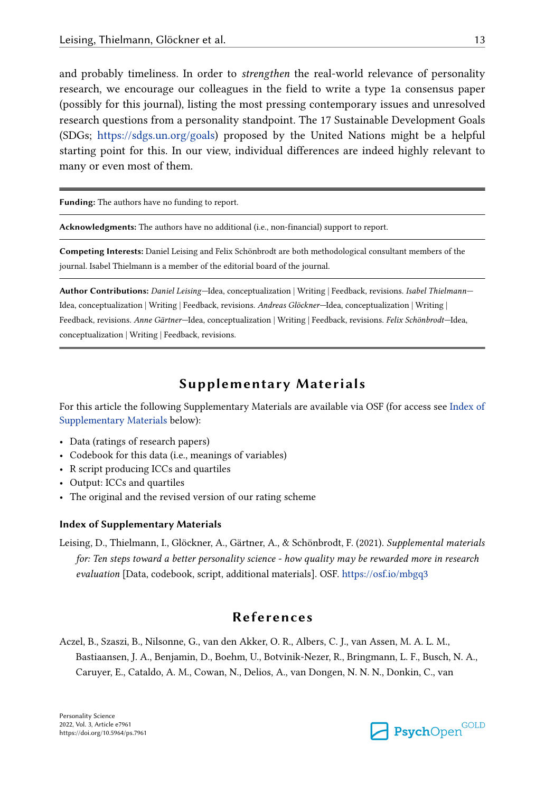<span id="page-12-0"></span>and probably timeliness. In order to *strengthen* the real-world relevance of personality research, we encourage our colleagues in the field to write a type 1a consensus paper (possibly for this journal), listing the most pressing contemporary issues and unresolved research questions from a personality standpoint. The 17 Sustainable Development Goals (SDGs; <https://sdgs.un.org/goals>) proposed by the United Nations might be a helpful starting point for this. In our view, individual differences are indeed highly relevant to many or even most of them.

**Funding:** The authors have no funding to report.

**Acknowledgments:** The authors have no additional (i.e., non-financial) support to report.

**Competing Interests:** Daniel Leising and Felix Schönbrodt are both methodological consultant members of the journal. Isabel Thielmann is a member of the editorial board of the journal.

**Author Contributions:** *Daniel Leising—*Idea, conceptualization | Writing | Feedback, revisions. *Isabel Thielmann—* Idea, conceptualization | Writing | Feedback, revisions. *Andreas Glöckner—*Idea, conceptualization | Writing | Feedback, revisions. *Anne Gärtner—*Idea, conceptualization | Writing | Feedback, revisions. *Felix Schönbrodt—*Idea, conceptualization | Writing | Feedback, revisions.

### **Supplementary Materials**

For this article the following Supplementary Materials are available via OSF (for access see Index of Supplementary Materials below):

- Data (ratings of research papers)
- Codebook for this data (i.e., meanings of variables)
- R script producing ICCs and quartiles
- Output: ICCs and quartiles
- The original and the revised version of our rating scheme

#### **Index of Supplementary Materials**

Leising, D., Thielmann, I., Glöckner, A., Gärtner, A., & Schönbrodt, F. (2021). *Supplemental materials for: Ten steps toward a better personality science - how quality may be rewarded more in research evaluation* [Data, codebook, script, additional materials]. OSF. https://osf.io/mbgq3

## **References**

Aczel, B., Szaszi, B., Nilsonne, G., van den Akker, O. R., Albers, C. J., van Assen, M. A. L. M., Bastiaansen, J. A., Benjamin, D., Boehm, U., Botvinik-Nezer, R., Bringmann, L. F., Busch, N. A., Caruyer, E., Cataldo, A. M., Cowan, N., Delios, A., van Dongen, N. N. N., Donkin, C., van

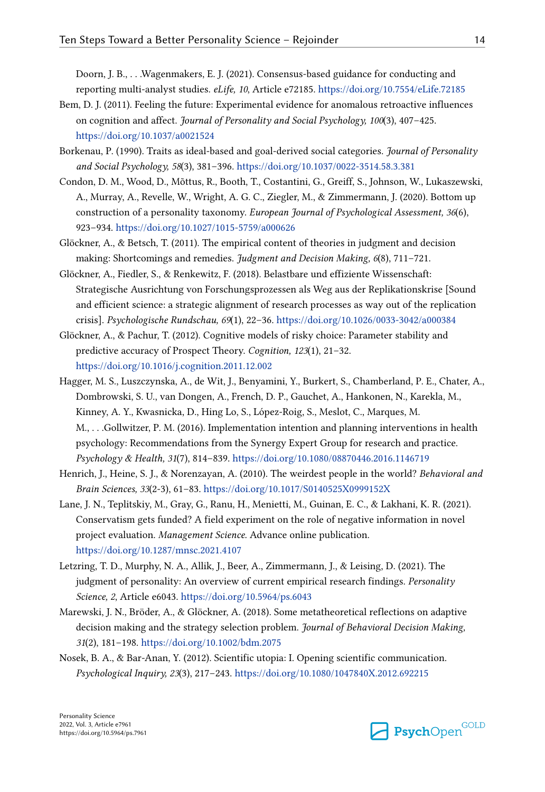<span id="page-13-0"></span>Doorn, J. B., . . .Wagenmakers, E. J. (2021). Consensus-based guidance for conducting and reporting multi-analyst studies. *eLife, 10*, Article e72185.<https://doi.org/10.7554/eLife.72185>

- Bem, D. J. (2011). Feeling the future: Experimental evidence for anomalous retroactive influences on cognition and affect. *Journal of Personality and Social Psychology, 100*(3), 407–425. <https://doi.org/10.1037/a0021524>
- Borkenau, P. (1990). Traits as ideal-based and goal-derived social categories. *Journal of Personality and Social Psychology, 58*(3), 381–396.<https://doi.org/10.1037/0022-3514.58.3.381>
- Condon, D. M., Wood, D., Mõttus, R., Booth, T., Costantini, G., Greiff, S., Johnson, W., Lukaszewski, A., Murray, A., Revelle, W., Wright, A. G. C., Ziegler, M., & Zimmermann, J. (2020). Bottom up construction of a personality taxonomy. *European Journal of Psychological Assessment, 36*(6), 923–934.<https://doi.org/10.1027/1015-5759/a000626>
- Glöckner, A., & Betsch, T. (2011). The empirical content of theories in judgment and decision making: Shortcomings and remedies. *Judgment and Decision Making, 6*(8), 711–721.
- Glöckner, A., Fiedler, S., & Renkewitz, F. (2018). Belastbare und effiziente Wissenschaft: Strategische Ausrichtung von Forschungsprozessen als Weg aus der Replikationskrise [Sound and efficient science: a strategic alignment of research processes as way out of the replication crisis]. *Psychologische Rundschau, 69*(1), 22–36. <https://doi.org/10.1026/0033-3042/a000384>
- Glöckner, A., & Pachur, T. (2012). Cognitive models of risky choice: Parameter stability and predictive accuracy of Prospect Theory. *Cognition, 123*(1), 21–32. <https://doi.org/10.1016/j.cognition.2011.12.002>
- Hagger, M. S., Luszczynska, A., de Wit, J., Benyamini, Y., Burkert, S., Chamberland, P. E., Chater, A., Dombrowski, S. U., van Dongen, A., French, D. P., Gauchet, A., Hankonen, N., Karekla, M., Kinney, A. Y., Kwasnicka, D., Hing Lo, S., López-Roig, S., Meslot, C., Marques, M. M., . . .Gollwitzer, P. M. (2016). Implementation intention and planning interventions in health psychology: Recommendations from the Synergy Expert Group for research and practice. *Psychology & Health, 31*(7), 814–839. <https://doi.org/10.1080/08870446.2016.1146719>
- Henrich, J., Heine, S. J., & Norenzayan, A. (2010). The weirdest people in the world? *Behavioral and Brain Sciences, 33*(2-3), 61–83. <https://doi.org/10.1017/S0140525X0999152X>
- Lane, J. N., Teplitskiy, M., Gray, G., Ranu, H., Menietti, M., Guinan, E. C., & Lakhani, K. R. (2021). Conservatism gets funded? A field experiment on the role of negative information in novel project evaluation. *Management Science*. Advance online publication. <https://doi.org/10.1287/mnsc.2021.4107>
- Letzring, T. D., Murphy, N. A., Allik, J., Beer, A., Zimmermann, J., & Leising, D. (2021). The judgment of personality: An overview of current empirical research findings. *Personality Science, 2*, Article e6043.<https://doi.org/10.5964/ps.6043>
- Marewski, J. N., Bröder, A., & Glöckner, A. (2018). Some metatheoretical reflections on adaptive decision making and the strategy selection problem. *Journal of Behavioral Decision Making, 31*(2), 181–198.<https://doi.org/10.1002/bdm.2075>
- Nosek, B. A., & Bar-Anan, Y. (2012). Scientific utopia: I. Opening scientific communication. *Psychological Inquiry, 23*(3), 217–243. <https://doi.org/10.1080/1047840X.2012.692215>